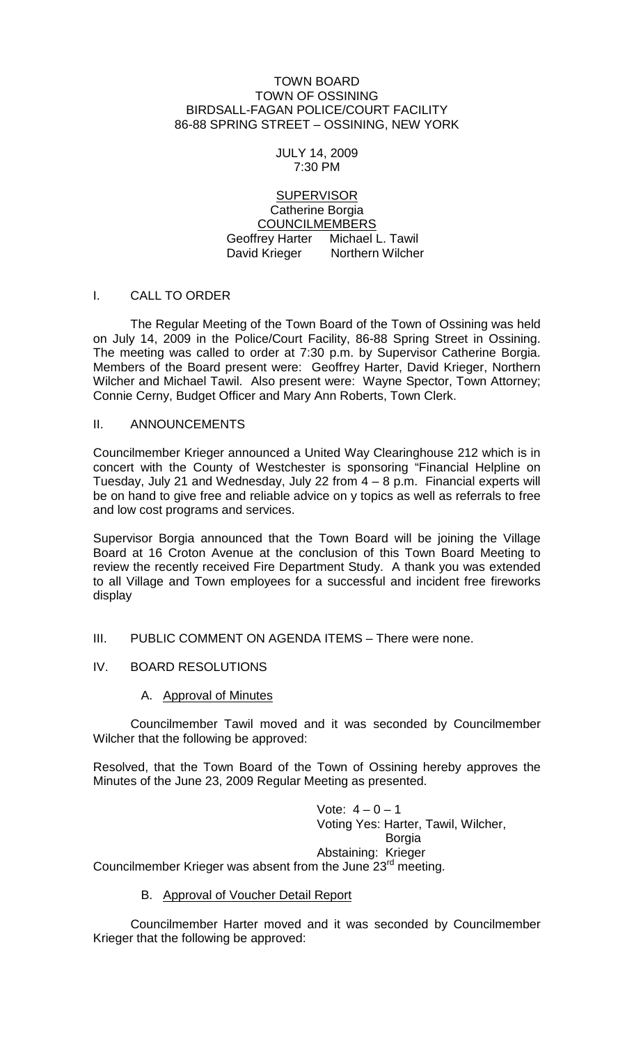### TOWN BOARD TOWN OF OSSINING BIRDSALL-FAGAN POLICE/COURT FACILITY 86-88 SPRING STREET – OSSINING, NEW YORK

#### JULY 14, 2009 7:30 PM

## **SUPERVISOR** Catherine Borgia COUNCILMEMBERS Geoffrey Harter Michael L. Tawil David Krieger Northern Wilcher

# I. CALL TO ORDER

The Regular Meeting of the Town Board of the Town of Ossining was held on July 14, 2009 in the Police/Court Facility, 86-88 Spring Street in Ossining. The meeting was called to order at 7:30 p.m. by Supervisor Catherine Borgia. Members of the Board present were: Geoffrey Harter, David Krieger, Northern Wilcher and Michael Tawil. Also present were: Wayne Spector, Town Attorney; Connie Cerny, Budget Officer and Mary Ann Roberts, Town Clerk.

### II. ANNOUNCEMENTS

Councilmember Krieger announced a United Way Clearinghouse 212 which is in concert with the County of Westchester is sponsoring "Financial Helpline on Tuesday, July 21 and Wednesday, July 22 from 4 – 8 p.m. Financial experts will be on hand to give free and reliable advice on y topics as well as referrals to free and low cost programs and services.

Supervisor Borgia announced that the Town Board will be joining the Village Board at 16 Croton Avenue at the conclusion of this Town Board Meeting to review the recently received Fire Department Study. A thank you was extended to all Village and Town employees for a successful and incident free fireworks display

- III. PUBLIC COMMENT ON AGENDA ITEMS There were none.
- IV. BOARD RESOLUTIONS

# A. Approval of Minutes

Councilmember Tawil moved and it was seconded by Councilmember Wilcher that the following be approved:

Resolved, that the Town Board of the Town of Ossining hereby approves the Minutes of the June 23, 2009 Regular Meeting as presented.

> Vote:  $4 - 0 - 1$ Voting Yes: Harter, Tawil, Wilcher, Borgia Abstaining: Krieger

Councilmember Krieger was absent from the June 23<sup>rd</sup> meeting.

B. Approval of Voucher Detail Report

Councilmember Harter moved and it was seconded by Councilmember Krieger that the following be approved: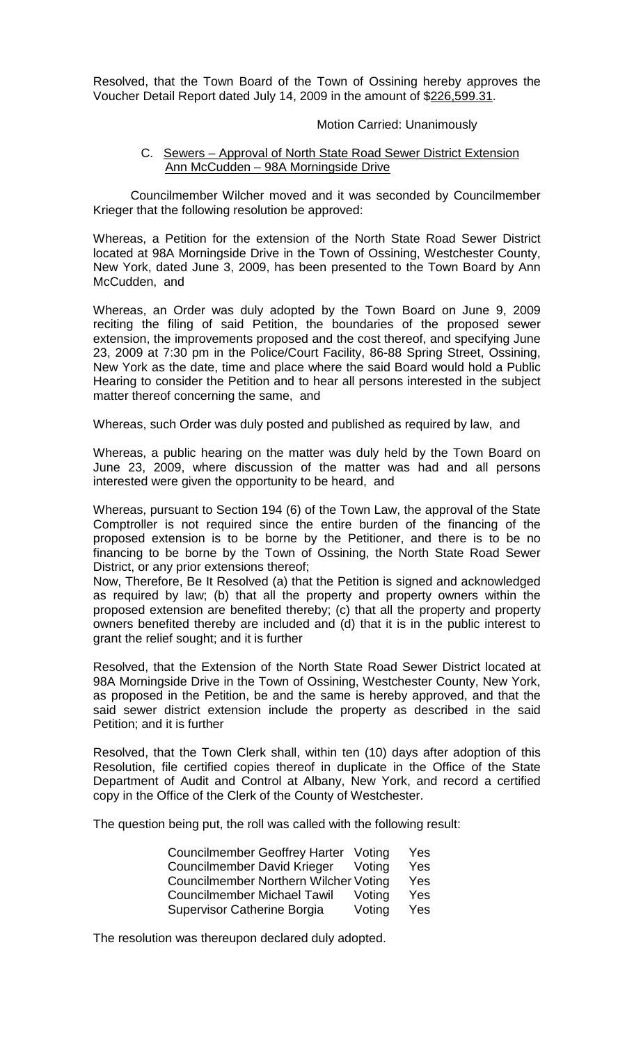Resolved, that the Town Board of the Town of Ossining hereby approves the Voucher Detail Report dated July 14, 2009 in the amount of \$226,599.31.

### Motion Carried: Unanimously

## C. Sewers – Approval of North State Road Sewer District Extension Ann McCudden – 98A Morningside Drive

Councilmember Wilcher moved and it was seconded by Councilmember Krieger that the following resolution be approved:

Whereas, a Petition for the extension of the North State Road Sewer District located at 98A Morningside Drive in the Town of Ossining, Westchester County, New York, dated June 3, 2009, has been presented to the Town Board by Ann McCudden, and

Whereas, an Order was duly adopted by the Town Board on June 9, 2009 reciting the filing of said Petition, the boundaries of the proposed sewer extension, the improvements proposed and the cost thereof, and specifying June 23, 2009 at 7:30 pm in the Police/Court Facility, 86-88 Spring Street, Ossining, New York as the date, time and place where the said Board would hold a Public Hearing to consider the Petition and to hear all persons interested in the subject matter thereof concerning the same, and

Whereas, such Order was duly posted and published as required by law, and

Whereas, a public hearing on the matter was duly held by the Town Board on June 23, 2009, where discussion of the matter was had and all persons interested were given the opportunity to be heard, and

Whereas, pursuant to Section 194 (6) of the Town Law, the approval of the State Comptroller is not required since the entire burden of the financing of the proposed extension is to be borne by the Petitioner, and there is to be no financing to be borne by the Town of Ossining, the North State Road Sewer District, or any prior extensions thereof;

Now, Therefore, Be It Resolved (a) that the Petition is signed and acknowledged as required by law; (b) that all the property and property owners within the proposed extension are benefited thereby; (c) that all the property and property owners benefited thereby are included and (d) that it is in the public interest to grant the relief sought; and it is further

Resolved, that the Extension of the North State Road Sewer District located at 98A Morningside Drive in the Town of Ossining, Westchester County, New York, as proposed in the Petition, be and the same is hereby approved, and that the said sewer district extension include the property as described in the said Petition; and it is further

Resolved, that the Town Clerk shall, within ten (10) days after adoption of this Resolution, file certified copies thereof in duplicate in the Office of the State Department of Audit and Control at Albany, New York, and record a certified copy in the Office of the Clerk of the County of Westchester.

The question being put, the roll was called with the following result:

| Councilmember Geoffrey Harter Voting  |        | Yes |
|---------------------------------------|--------|-----|
| <b>Councilmember David Krieger</b>    | Votina | Yes |
| Councilmember Northern Wilcher Voting |        | Yes |
| <b>Councilmember Michael Tawil</b>    | Voting | Yes |
| Supervisor Catherine Borgia           | Voting | Yes |

The resolution was thereupon declared duly adopted.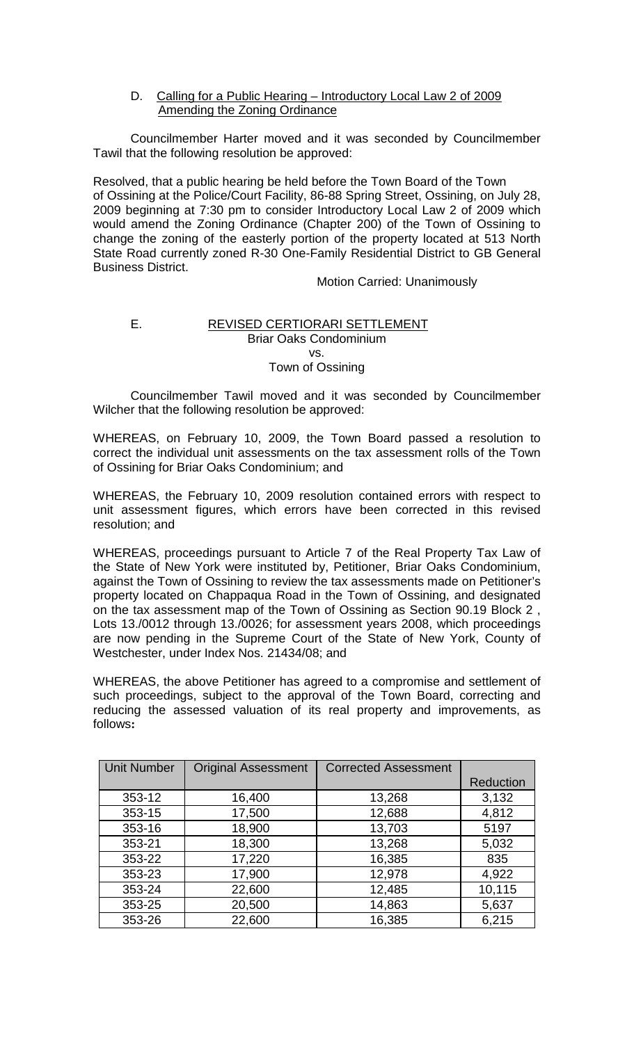## D. Calling for a Public Hearing – Introductory Local Law 2 of 2009 Amending the Zoning Ordinance

Councilmember Harter moved and it was seconded by Councilmember Tawil that the following resolution be approved:

Resolved, that a public hearing be held before the Town Board of the Town of Ossining at the Police/Court Facility, 86-88 Spring Street, Ossining, on July 28, 2009 beginning at 7:30 pm to consider Introductory Local Law 2 of 2009 which would amend the Zoning Ordinance (Chapter 200) of the Town of Ossining to change the zoning of the easterly portion of the property located at 513 North State Road currently zoned R-30 One-Family Residential District to GB General Business District.

Motion Carried: Unanimously

#### E. REVISED CERTIORARI SETTLEMENT Briar Oaks Condominium vs. Town of Ossining

Councilmember Tawil moved and it was seconded by Councilmember Wilcher that the following resolution be approved:

WHEREAS, on February 10, 2009, the Town Board passed a resolution to correct the individual unit assessments on the tax assessment rolls of the Town of Ossining for Briar Oaks Condominium; and

WHEREAS, the February 10, 2009 resolution contained errors with respect to unit assessment figures, which errors have been corrected in this revised resolution; and

WHEREAS, proceedings pursuant to Article 7 of the Real Property Tax Law of the State of New York were instituted by, Petitioner, Briar Oaks Condominium, against the Town of Ossining to review the tax assessments made on Petitioner's property located on Chappaqua Road in the Town of Ossining, and designated on the tax assessment map of the Town of Ossining as Section 90.19 Block 2 , Lots 13./0012 through 13./0026; for assessment years 2008, which proceedings are now pending in the Supreme Court of the State of New York, County of Westchester, under Index Nos. 21434/08; and

WHEREAS, the above Petitioner has agreed to a compromise and settlement of such proceedings, subject to the approval of the Town Board, correcting and reducing the assessed valuation of its real property and improvements, as follows**:**

| <b>Unit Number</b> | <b>Original Assessment</b> | <b>Corrected Assessment</b> |           |
|--------------------|----------------------------|-----------------------------|-----------|
|                    |                            |                             | Reduction |
| 353-12             | 16,400                     | 13,268                      | 3,132     |
| 353-15             | 17,500                     | 12,688                      | 4,812     |
| 353-16             | 18,900                     | 13,703                      | 5197      |
| 353-21             | 18,300                     | 13,268                      | 5,032     |
| 353-22             | 17,220                     | 16,385                      | 835       |
| 353-23             | 17,900                     | 12,978                      | 4,922     |
| 353-24             | 22,600                     | 12,485                      | 10,115    |
| 353-25             | 20,500                     | 14,863                      | 5,637     |
| 353-26             | 22,600                     | 16,385                      | 6,215     |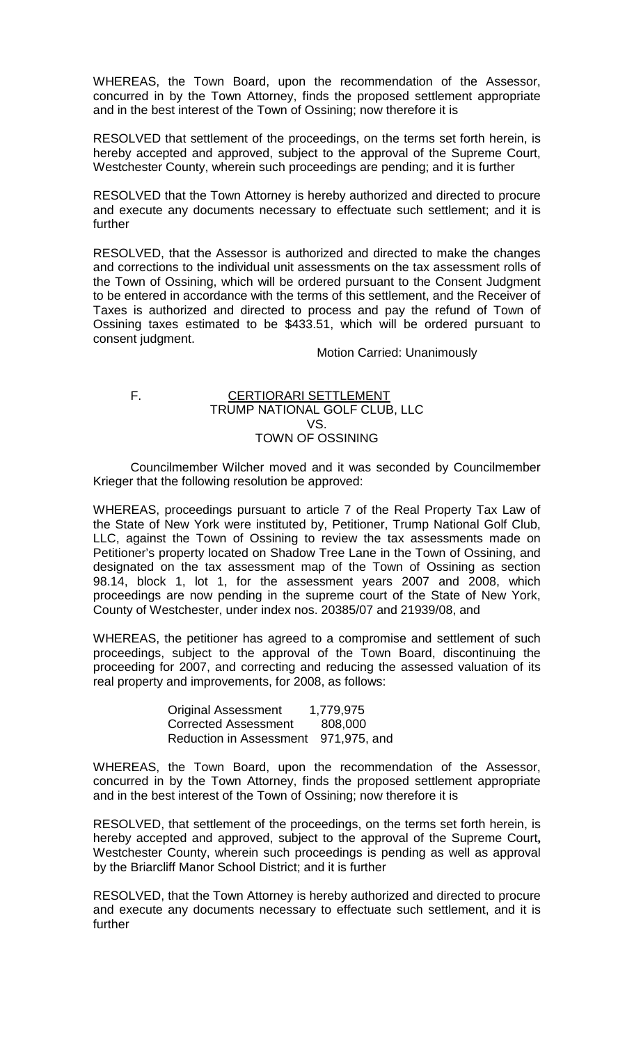WHEREAS, the Town Board, upon the recommendation of the Assessor, concurred in by the Town Attorney, finds the proposed settlement appropriate and in the best interest of the Town of Ossining; now therefore it is

RESOLVED that settlement of the proceedings, on the terms set forth herein, is hereby accepted and approved, subject to the approval of the Supreme Court, Westchester County, wherein such proceedings are pending; and it is further

RESOLVED that the Town Attorney is hereby authorized and directed to procure and execute any documents necessary to effectuate such settlement; and it is further

RESOLVED, that the Assessor is authorized and directed to make the changes and corrections to the individual unit assessments on the tax assessment rolls of the Town of Ossining, which will be ordered pursuant to the Consent Judgment to be entered in accordance with the terms of this settlement, and the Receiver of Taxes is authorized and directed to process and pay the refund of Town of Ossining taxes estimated to be \$433.51, which will be ordered pursuant to consent judgment.

Motion Carried: Unanimously

#### F. CERTIORARI SETTLEMENT TRUMP NATIONAL GOLF CLUB, LLC VS. TOWN OF OSSINING

Councilmember Wilcher moved and it was seconded by Councilmember Krieger that the following resolution be approved:

WHEREAS, proceedings pursuant to article 7 of the Real Property Tax Law of the State of New York were instituted by, Petitioner, Trump National Golf Club, LLC, against the Town of Ossining to review the tax assessments made on Petitioner's property located on Shadow Tree Lane in the Town of Ossining, and designated on the tax assessment map of the Town of Ossining as section 98.14, block 1, lot 1, for the assessment years 2007 and 2008, which proceedings are now pending in the supreme court of the State of New York, County of Westchester, under index nos. 20385/07 and 21939/08, and

WHEREAS, the petitioner has agreed to a compromise and settlement of such proceedings, subject to the approval of the Town Board, discontinuing the proceeding for 2007, and correcting and reducing the assessed valuation of its real property and improvements, for 2008, as follows:

| <b>Original Assessment</b>           | 1,779,975 |
|--------------------------------------|-----------|
| <b>Corrected Assessment</b>          | 808,000   |
| Reduction in Assessment 971,975, and |           |

WHEREAS, the Town Board, upon the recommendation of the Assessor, concurred in by the Town Attorney, finds the proposed settlement appropriate and in the best interest of the Town of Ossining; now therefore it is

RESOLVED, that settlement of the proceedings, on the terms set forth herein, is hereby accepted and approved, subject to the approval of the Supreme Court**,**  Westchester County, wherein such proceedings is pending as well as approval by the Briarcliff Manor School District; and it is further

RESOLVED, that the Town Attorney is hereby authorized and directed to procure and execute any documents necessary to effectuate such settlement, and it is further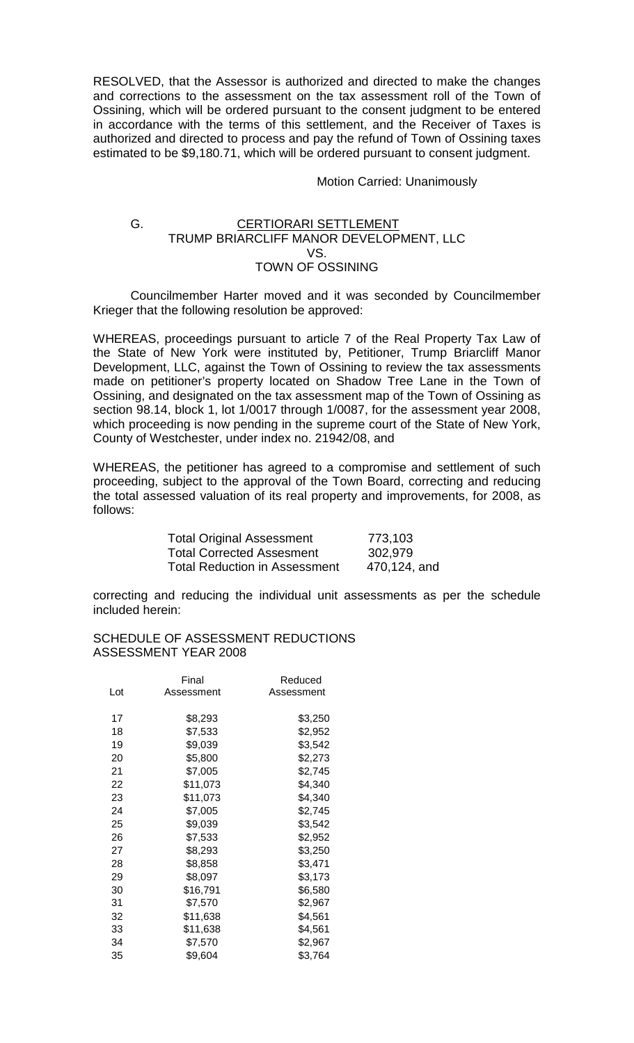RESOLVED, that the Assessor is authorized and directed to make the changes and corrections to the assessment on the tax assessment roll of the Town of Ossining, which will be ordered pursuant to the consent judgment to be entered in accordance with the terms of this settlement, and the Receiver of Taxes is authorized and directed to process and pay the refund of Town of Ossining taxes estimated to be \$9,180.71, which will be ordered pursuant to consent judgment.

#### Motion Carried: Unanimously

#### G. CERTIORARI SETTLEMENT TRUMP BRIARCLIFF MANOR DEVELOPMENT, LLC VS. TOWN OF OSSINING

Councilmember Harter moved and it was seconded by Councilmember Krieger that the following resolution be approved:

WHEREAS, proceedings pursuant to article 7 of the Real Property Tax Law of the State of New York were instituted by, Petitioner, Trump Briarcliff Manor Development, LLC, against the Town of Ossining to review the tax assessments made on petitioner's property located on Shadow Tree Lane in the Town of Ossining, and designated on the tax assessment map of the Town of Ossining as section 98.14, block 1, lot 1/0017 through 1/0087, for the assessment year 2008, which proceeding is now pending in the supreme court of the State of New York, County of Westchester, under index no. 21942/08, and

WHEREAS, the petitioner has agreed to a compromise and settlement of such proceeding, subject to the approval of the Town Board, correcting and reducing the total assessed valuation of its real property and improvements, for 2008, as follows:

| <b>Total Original Assessment</b>     | 773,103      |
|--------------------------------------|--------------|
| <b>Total Corrected Assesment</b>     | 302,979      |
| <b>Total Reduction in Assessment</b> | 470,124, and |

correcting and reducing the individual unit assessments as per the schedule included herein:

#### SCHEDULE OF ASSESSMENT REDUCTIONS ASSESSMENT YEAR 2008

|     | Final      | Reduced    |
|-----|------------|------------|
| Lot | Assessment | Assessment |
|     |            |            |
| 17  | \$8,293    | \$3,250    |
| 18  | \$7,533    | \$2,952    |
| 19  | \$9,039    | \$3,542    |
| 20  | \$5,800    | \$2,273    |
| 21  | \$7,005    | \$2,745    |
| 22  | \$11,073   | \$4,340    |
| 23  | \$11,073   | \$4,340    |
| 24  | \$7,005    | \$2,745    |
| 25  | \$9,039    | \$3,542    |
| 26  | \$7,533    | \$2,952    |
| 27  | \$8,293    | \$3,250    |
| 28  | \$8,858    | \$3,471    |
| 29  | \$8,097    | \$3,173    |
| 30  | \$16,791   | \$6,580    |
| 31  | \$7,570    | \$2,967    |
| 32  | \$11,638   | \$4,561    |
| 33  | \$11,638   | \$4,561    |
| 34  | \$7,570    | \$2,967    |
| 35  | \$9,604    | \$3,764    |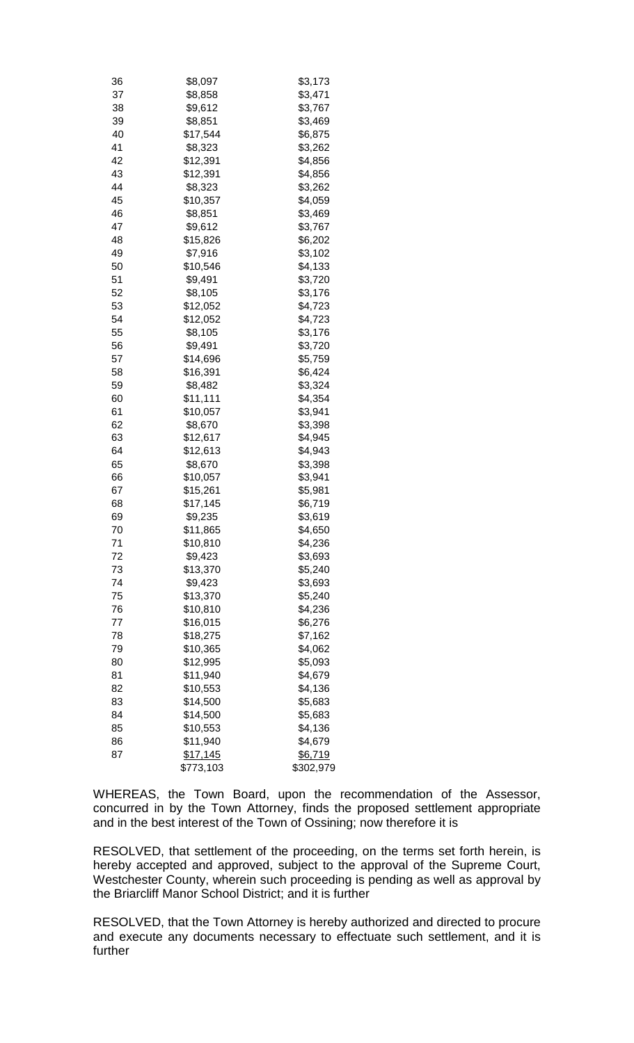| 36 | \$8,097   | \$3,173   |
|----|-----------|-----------|
| 37 | \$8,858   | \$3,471   |
| 38 | \$9,612   | \$3,767   |
| 39 | \$8,851   | \$3,469   |
| 40 | \$17,544  | \$6,875   |
| 41 | \$8,323   | \$3,262   |
| 42 | \$12,391  | \$4,856   |
| 43 | \$12,391  | \$4,856   |
| 44 | \$8,323   | \$3,262   |
| 45 | \$10,357  | \$4,059   |
| 46 | \$8,851   | \$3,469   |
| 47 | \$9,612   | \$3,767   |
| 48 | \$15,826  | \$6,202   |
| 49 | \$7,916   | \$3,102   |
| 50 | \$10,546  | \$4,133   |
| 51 | \$9,491   | \$3,720   |
| 52 | \$8,105   | \$3,176   |
| 53 | \$12,052  | \$4,723   |
| 54 | \$12,052  | \$4,723   |
| 55 | \$8,105   | \$3,176   |
| 56 | \$9,491   | \$3,720   |
| 57 | \$14,696  | \$5,759   |
| 58 | \$16,391  | \$6,424   |
| 59 | \$8,482   | \$3,324   |
| 60 | \$11,111  | \$4,354   |
| 61 | \$10,057  | \$3,941   |
| 62 | \$8,670   | \$3,398   |
| 63 | \$12,617  | \$4,945   |
| 64 | \$12,613  | \$4,943   |
| 65 | \$8,670   | \$3,398   |
| 66 | \$10,057  | \$3,941   |
| 67 | \$15,261  | \$5,981   |
| 68 | \$17,145  | \$6,719   |
| 69 | \$9,235   | \$3,619   |
| 70 | \$11,865  | \$4,650   |
| 71 | \$10,810  | \$4,236   |
| 72 | \$9,423   | \$3,693   |
| 73 | \$13,370  | \$5,240   |
| 74 | \$9,423   | \$3,693   |
| 75 | \$13,370  | \$5,240   |
| 76 | \$10,810  | \$4,236   |
| 77 | \$16,015  | \$6,276   |
| 78 | \$18,275  | \$7,162   |
| 79 | \$10,365  | \$4,062   |
| 80 | \$12,995  | \$5,093   |
| 81 | \$11,940  | \$4,679   |
| 82 | \$10,553  | \$4,136   |
| 83 | \$14,500  | \$5,683   |
| 84 | \$14,500  | \$5,683   |
| 85 | \$10,553  | \$4,136   |
| 86 | \$11,940  | \$4,679   |
| 87 | \$17,145  | \$6,719   |
|    | \$773,103 | \$302,979 |

WHEREAS, the Town Board, upon the recommendation of the Assessor, concurred in by the Town Attorney, finds the proposed settlement appropriate and in the best interest of the Town of Ossining; now therefore it is

RESOLVED, that settlement of the proceeding, on the terms set forth herein, is hereby accepted and approved, subject to the approval of the Supreme Court, Westchester County, wherein such proceeding is pending as well as approval by the Briarcliff Manor School District; and it is further

RESOLVED, that the Town Attorney is hereby authorized and directed to procure and execute any documents necessary to effectuate such settlement, and it is further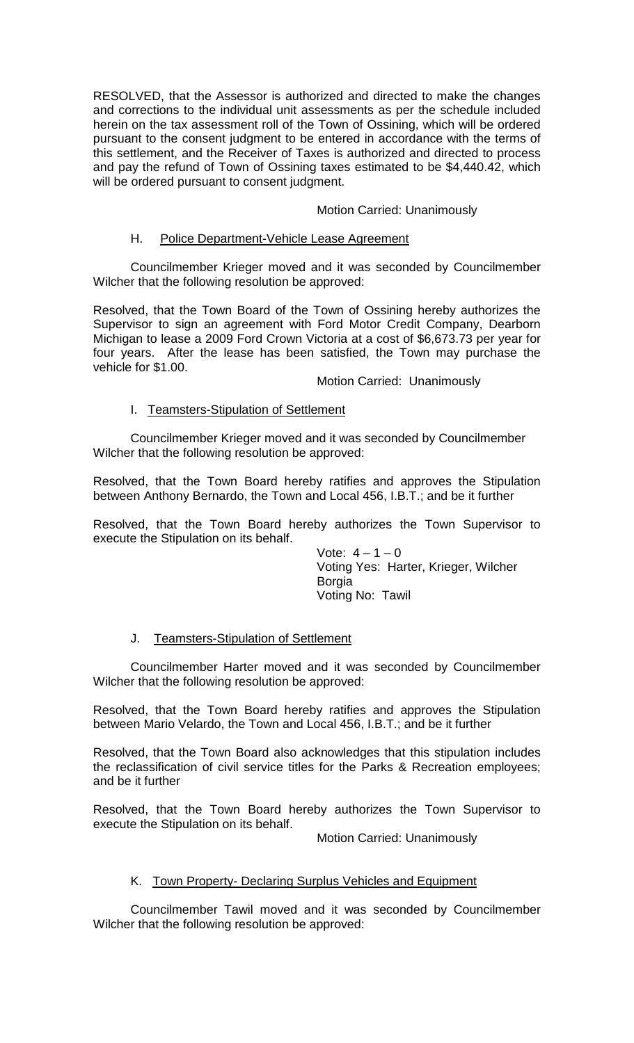RESOLVED, that the Assessor is authorized and directed to make the changes and corrections to the individual unit assessments as per the schedule included herein on the tax assessment roll of the Town of Ossining, which will be ordered pursuant to the consent judgment to be entered in accordance with the terms of this settlement, and the Receiver of Taxes is authorized and directed to process and pay the refund of Town of Ossining taxes estimated to be \$4,440.42, which will be ordered pursuant to consent judgment.

# Motion Carried: Unanimously

### H. Police Department-Vehicle Lease Agreement

Councilmember Krieger moved and it was seconded by Councilmember Wilcher that the following resolution be approved:

Resolved, that the Town Board of the Town of Ossining hereby authorizes the Supervisor to sign an agreement with Ford Motor Credit Company, Dearborn Michigan to lease a 2009 Ford Crown Victoria at a cost of \$6,673.73 per year for four years. After the lease has been satisfied, the Town may purchase the vehicle for \$1.00.

### Motion Carried: Unanimously

## I. Teamsters-Stipulation of Settlement

Councilmember Krieger moved and it was seconded by Councilmember Wilcher that the following resolution be approved:

Resolved, that the Town Board hereby ratifies and approves the Stipulation between Anthony Bernardo, the Town and Local 456, I.B.T.; and be it further

Resolved, that the Town Board hereby authorizes the Town Supervisor to execute the Stipulation on its behalf.

> Vote:  $4 - 1 - 0$ Voting Yes: Harter, Krieger, Wilcher Borgia Voting No: Tawil

### J. Teamsters-Stipulation of Settlement

Councilmember Harter moved and it was seconded by Councilmember Wilcher that the following resolution be approved:

Resolved, that the Town Board hereby ratifies and approves the Stipulation between Mario Velardo, the Town and Local 456, I.B.T.; and be it further

Resolved, that the Town Board also acknowledges that this stipulation includes the reclassification of civil service titles for the Parks & Recreation employees; and be it further

Resolved, that the Town Board hereby authorizes the Town Supervisor to execute the Stipulation on its behalf.

Motion Carried: Unanimously

### K. Town Property- Declaring Surplus Vehicles and Equipment

Councilmember Tawil moved and it was seconded by Councilmember Wilcher that the following resolution be approved: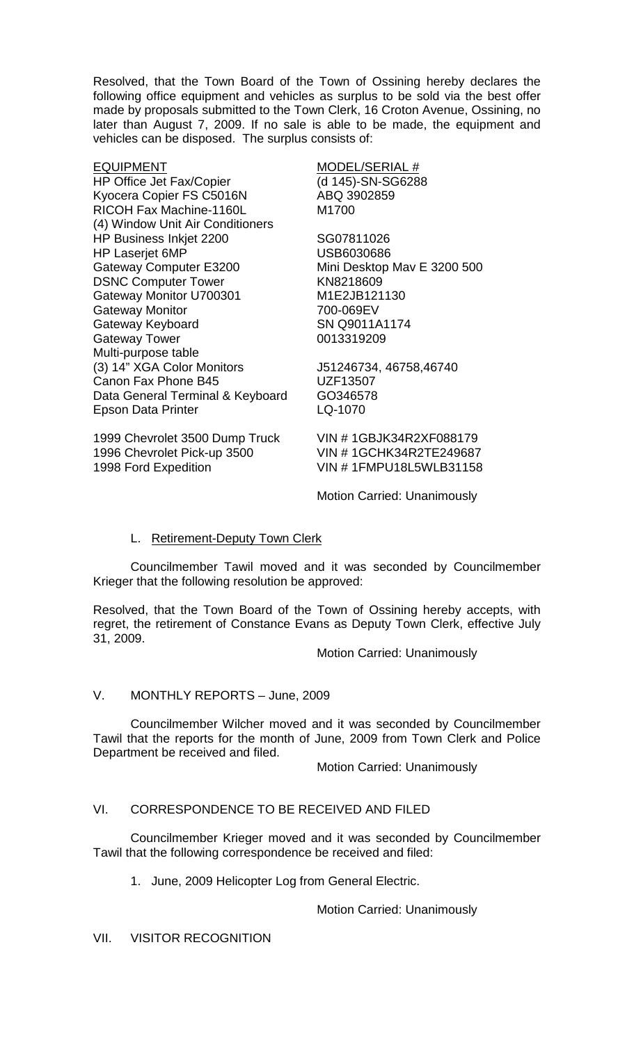Resolved, that the Town Board of the Town of Ossining hereby declares the following office equipment and vehicles as surplus to be sold via the best offer made by proposals submitted to the Town Clerk, 16 Croton Avenue, Ossining, no later than August 7, 2009. If no sale is able to be made, the equipment and vehicles can be disposed. The surplus consists of:

EQUIPMENT MODEL/SERIAL # HP Office Jet Fax/Copier Kyocera Copier FS C5016N ABQ 3902859 RICOH Fax Machine-1160L M1700 (4) Window Unit Air Conditioners HP Business Inkjet 2200 SG07811026 HP Laserjet 6MP USB6030686 Gateway Computer E3200 Mini Desktop Mav E 3200 500 DSNC Computer Tower KN8218609 Gateway Monitor U700301 M1E2JB121130 Gateway Monitor 700-069EV Gateway Keyboard SN Q9011A1174 **Gateway Tower** Multi-purpose table (3) 14" XGA Color Monitors J51246734, 46758,46740 Canon Fax Phone B45 UZF13507 Data General Terminal & Keyboard GO346578 Epson Data Printer LQ-1070

1999 Chevrolet 3500 Dump Truck VIN # 1GBJK34R2XF088179 1996 Chevrolet Pick-up 3500 VIN # 1GCHK34R2TE249687<br>1998 Ford Expedition VIN # 1FMPU18L5WLB31158

VIN # 1FMPU18L5WLB31158

Motion Carried: Unanimously

# L. Retirement-Deputy Town Clerk

Councilmember Tawil moved and it was seconded by Councilmember Krieger that the following resolution be approved:

Resolved, that the Town Board of the Town of Ossining hereby accepts, with regret, the retirement of Constance Evans as Deputy Town Clerk, effective July 31, 2009.

Motion Carried: Unanimously

# V. MONTHLY REPORTS – June, 2009

Councilmember Wilcher moved and it was seconded by Councilmember Tawil that the reports for the month of June, 2009 from Town Clerk and Police Department be received and filed.

Motion Carried: Unanimously

# VI. CORRESPONDENCE TO BE RECEIVED AND FILED

Councilmember Krieger moved and it was seconded by Councilmember Tawil that the following correspondence be received and filed:

1. June, 2009 Helicopter Log from General Electric.

Motion Carried: Unanimously

VII. VISITOR RECOGNITION